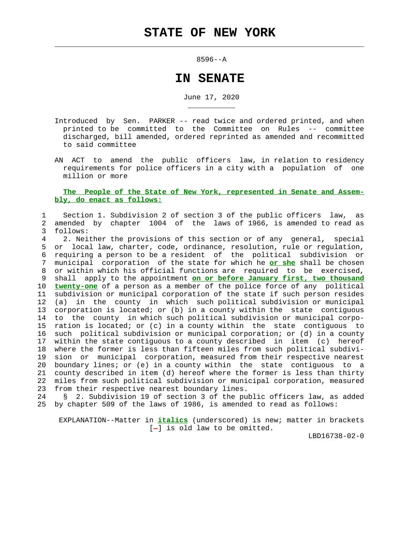$\mathcal{L}_\text{max} = \frac{1}{2} \sum_{i=1}^{n} \frac{1}{2} \sum_{i=1}^{n} \frac{1}{2} \sum_{i=1}^{n} \frac{1}{2} \sum_{i=1}^{n} \frac{1}{2} \sum_{i=1}^{n} \frac{1}{2} \sum_{i=1}^{n} \frac{1}{2} \sum_{i=1}^{n} \frac{1}{2} \sum_{i=1}^{n} \frac{1}{2} \sum_{i=1}^{n} \frac{1}{2} \sum_{i=1}^{n} \frac{1}{2} \sum_{i=1}^{n} \frac{1}{2} \sum_{i=1}^{n} \frac{1$ 

\_\_\_\_\_\_\_\_\_\_\_

## 8596--A

## **IN SENATE**

June 17, 2020

- Introduced by Sen. PARKER -- read twice and ordered printed, and when printed to be committed to the Committee on Rules -- committee discharged, bill amended, ordered reprinted as amended and recommitted to said committee
- AN ACT to amend the public officers law, in relation to residency requirements for police officers in a city with a population of one million or more

## **The People of the State of New York, represented in Senate and Assem bly, do enact as follows:**

## 1 Section 1. Subdivision 2 of section 3 of the public officers law, as 2 amended by chapter 1004 of the laws of 1966, is amended to read as 3 follows:

 4 2. Neither the provisions of this section or of any general, special 5 or local law, charter, code, ordinance, resolution, rule or regulation, 6 requiring a person to be a resident of the political subdivision or<br>7 municipal corporation of the state for which he or she shall be chosen 7 municipal corporation of the state for which he **or she** shall be chosen 8 or within which his official functions are required to be exercised, 9 shall apply to the appointment **on or before January first, two thousand** 10 **twenty-one** of a person as a member of the police force of any political 11 subdivision or municipal corporation of the state if such person resides 12 (a) in the county in which such political subdivision or municipal 13 corporation is located; or (b) in a county within the state contiguous 14 to the county in which such political subdivision or municipal corpo- 15 ration is located; or (c) in a county within the state contiguous to 16 such political subdivision or municipal corporation; or (d) in a county 17 within the state contiguous to a county described in item (c) hereof 18 where the former is less than fifteen miles from such political subdivi- 19 sion or municipal corporation, measured from their respective nearest 20 boundary lines; or (e) in a county within the state contiguous to a 21 county described in item (d) hereof where the former is less than thirty 22 miles from such political subdivision or municipal corporation, measured 23 from their respective nearest boundary lines.

 24 § 2. Subdivision 19 of section 3 of the public officers law, as added 25 by chapter 509 of the laws of 1986, is amended to read as follows:

 EXPLANATION--Matter in **italics** (underscored) is new; matter in brackets  $[-]$  is old law to be omitted.

LBD16738-02-0